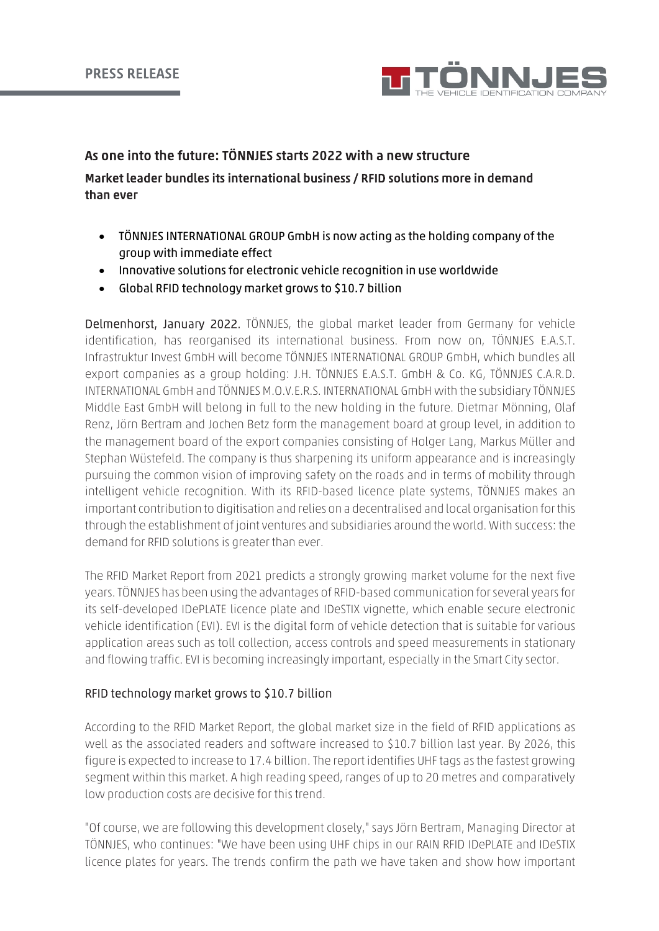

# As one into the future: TÖNNJES starts 2022 with a new structure

# Market leader bundles its international business / RFID solutions more in demand than ever

- TÖNNJES INTERNATIONAL GROUP GmbH is now acting as the holding company of the group with immediate effect
- Innovative solutions for electronic vehicle recognition in use worldwide
- Global RFID technology market grows to \$10.7 billion

Delmenhorst, January 2022. TÖNNJES, the global market leader from Germany for vehicle identification, has reorganised its international business. From now on, TÖNNJES E.A.S.T. Infrastruktur Invest GmbH will become TÖNNJES INTERNATIONAL GROUP GmbH, which bundles all export companies as a group holding: J.H. TÖNNJES E.A.S.T. GmbH & Co. KG, TÖNNJES C.A.R.D. INTERNATIONAL GmbH and TÖNNJES M.O.V.E.R.S. INTERNATIONAL GmbH with the subsidiary TÖNNJES Middle East GmbH will belong in full to the new holding in the future. Dietmar Mönning, Olaf Renz, Jörn Bertram and Jochen Betz form the management board at group level, in addition to the management board of the export companies consisting of Holger Lang, Markus Müller and Stephan Wüstefeld. The company is thus sharpening its uniform appearance and is increasingly pursuing the common vision of improving safety on the roads and in terms of mobility through intelligent vehicle recognition. With its RFID-based licence plate systems, TÖNNJES makes an important contribution to digitisation and relies on a decentralised and local organisation for this through the establishment of joint ventures and subsidiaries around the world. With success: the demand for RFID solutions is greater than ever.

The RFID Market Report from 2021 predicts a strongly growing market volume for the next five years. TÖNNJES has been using the advantages of RFID-based communication for several years for its self-developed IDePLATE licence plate and IDeSTIX vignette, which enable secure electronic vehicle identification (EVI). EVI is the digital form of vehicle detection that is suitable for various application areas such as toll collection, access controls and speed measurements in stationary and flowing traffic. EVI is becoming increasingly important, especially in the Smart City sector.

### RFID technology market grows to \$10.7 billion

According to the RFID Market Report, the global market size in the field of RFID applications as well as the associated readers and software increased to \$10.7 billion last year. By 2026, this figure is expected to increase to 17.4 billion. The report identifies UHF tags as the fastest growing segment within this market. A high reading speed, ranges of up to 20 metres and comparatively low production costs are decisive for this trend.

"Of course, we are following this development closely," says Jörn Bertram, Managing Director at TÖNNJES, who continues: "We have been using UHF chips in our RAIN RFID IDePLATE and IDeSTIX licence plates for years. The trends confirm the path we have taken and show how important